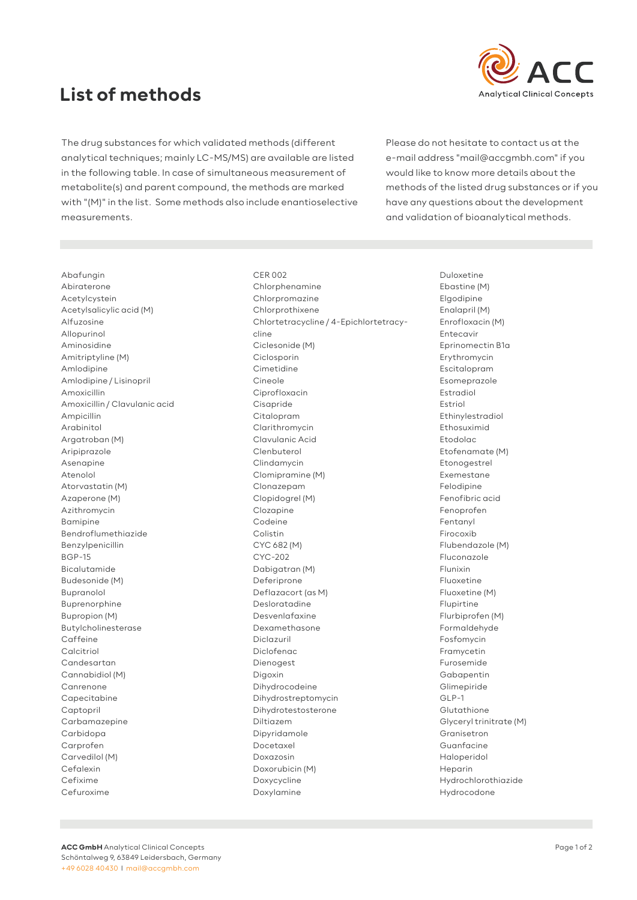## **List of methods**



The drug substances for which validated methods (different analytical techniques; mainly LC-MS/MS) are available are listed in the following table. In case of simultaneous measurement of metabolite(s) and parent compound, the methods are marked with "(M)" in the list. Some methods also include enantioselective measurements.

Please do not hesitate to contact us at the e-mail address "mail@accgmbh.com" if you would like to know more details about the methods of the listed drug substances or if you have any questions about the development and validation of bioanalytical methods.

Abafungin Abiraterone Acetylcystein Acetylsalicylic acid (M) Alfuzosine Allopurinol Aminosidine Amitriptyline (M) Amlodipine Amlodipine / Lisinopril Amoxicillin Amoxicillin / Clavulanic acid Ampicillin Arabinitol Argatroban (M) Aripiprazole Asenapine Atenolol Atorvastatin (M) Azaperone (M) Azithromycin Bamipine Bendroflumethiazide Benzylpenicillin BGP-15 Bicalutamide Budesonide (M) Bupranolol Buprenorphine Bupropion (M) Butylcholinesterase Caffeine Calcitriol Candesartan Cannabidiol (M) Canrenone Capecitabine Captopril Carbamazepine Carbidopa Carprofen Carvedilol (M) Cefalexin Cefixime Cefuroxime

CER 002 Chlorphenamine Chlorpromazine Chlorprothixene Chlortetracycline / 4-Epichlortetracycline Ciclesonide (M) Ciclosporin Cimetidine Cineole Ciprofloxacin Cisapride Citalopram Clarithromycin Clavulanic Acid Clenbuterol Clindamycin Clomipramine (M) Clonazepam Clopidogrel (M) Clozapine Codeine Colistin CYC 682 (M) CYC-202 Dabigatran (M) Deferiprone Deflazacort (as M) Desloratadine Desvenlafaxine Dexamethasone Diclazuril Diclofenac Dienogest Digoxin Dihydrocodeine Dihydrostreptomycin Dihydrotestosterone Diltiazem Dipyridamole Docetaxel Doxazosin Doxorubicin (M) Doxycycline Doxylamine

Duloxetine Ebastine (M) Elgodipine Enalapril (M) Enrofloxacin (M) Entecavir Eprinomectin B1a Erythromycin Escitalopram Esomeprazole Estradiol Estriol Ethinylestradiol Ethosuximid Etodolac Etofenamate (M) Etonogestrel Exemestane Felodipine Fenofibric acid Fenoprofen Fentanyl Firocoxib Flubendazole (M) Fluconazole Flunixin Fluoxetine Fluoxetine (M) Flupirtine Flurbiprofen (M) Formaldehyde Fosfomycin Framycetin Furosemide Gabapentin Glimepiride GLP-1 Glutathione Glyceryl trinitrate (M) Granisetron Guanfacine Haloperidol Heparin Hydrochlorothiazide Hydrocodone